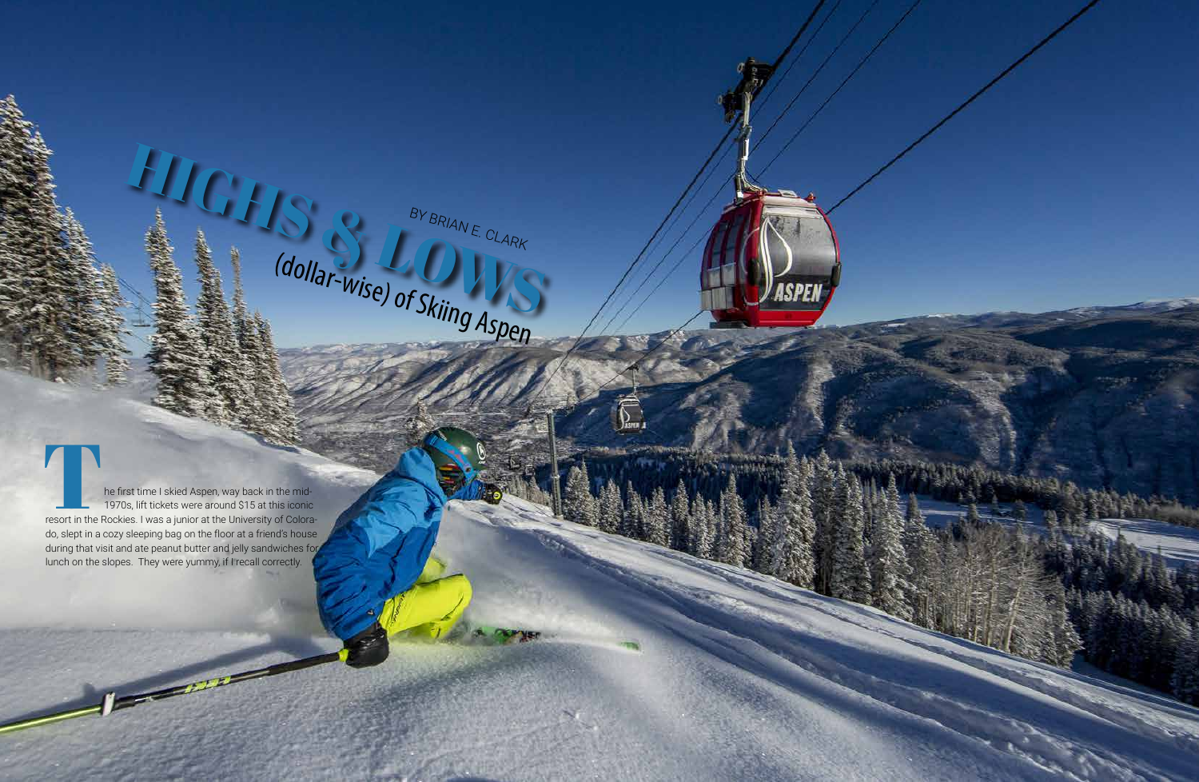

1970s, lift tickets were around \$15 at this iconic resort in the Rockies. I was a junior at the University of Colora do, slept in a cozy sleeping bag on the floor at a friend's house during that visit and ate peanut butter and jelly sandwiches for  $\frac{BY_{BR|A|N}}{(dollar-Wise) \text{ of } Skling Aspen}$ <br>  $\frac{BY_{BR|A|N}}{(dallar-Wise) \text{ of } Skling Aspen}$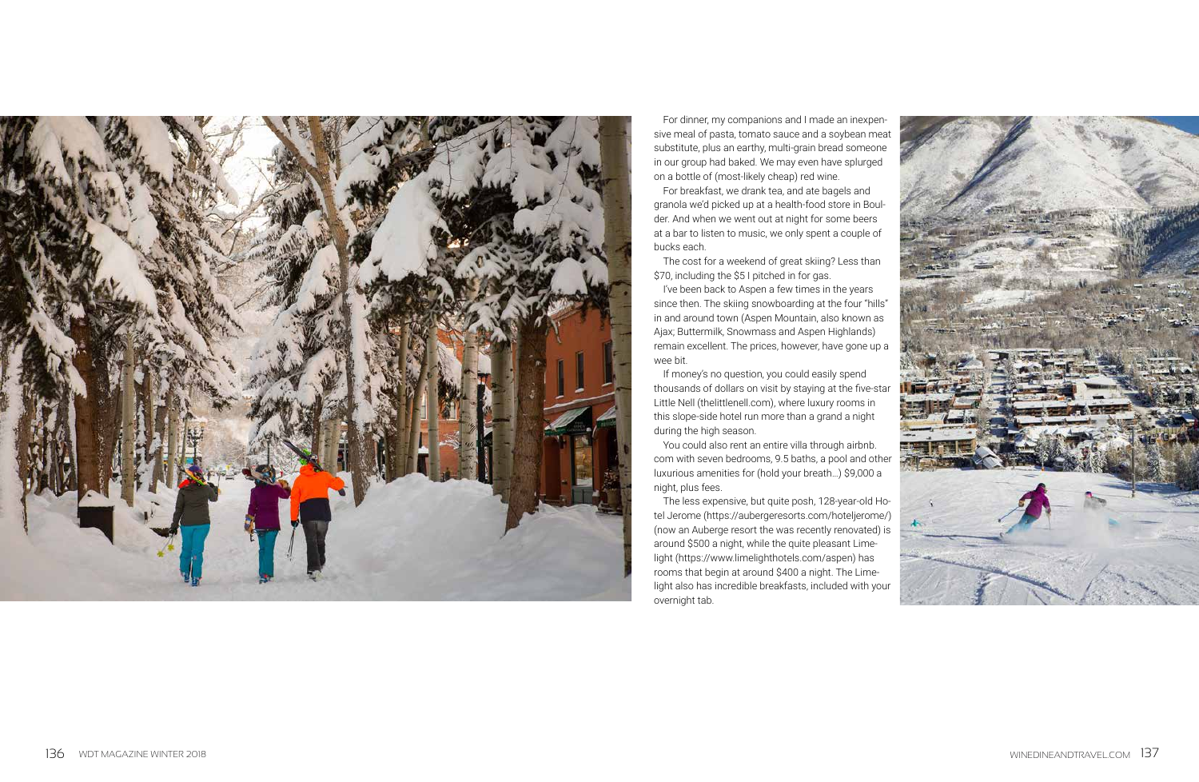



For dinner, my companions and I made an inexpen sive meal of pasta, tomato sauce and a soybean meat substitute, plus an earthy, multi-grain bread someone in our group had baked. We may even have splurged on a bottle of (most-likely cheap) red wine.

For breakfast, we drank tea, and ate bagels and granola we'd picked up at a health-food store in Boul der. And when we went out at night for some beers at a bar to listen to music, we only spent a couple of bucks each.

The cost for a weekend of great skiing? Less than \$70, including the \$5 I pitched in for gas.

I've been back to Aspen a few times in the years since then. The skiing snowboarding at the four "hills" in and around town (Aspen Mountain, also known as Ajax; Buttermilk, Snowmass and Aspen Highlands) remain excellent. The prices, however, have gone up a wee bit.

If money's no question, you could easily spend thousands of dollars on visit by staying at the five-star Little Nell (thelittlenell.com), where luxury rooms in this slope-side hotel run more than a grand a night during the high season.

You could also rent an entire villa through airbnb. com with seven bedrooms, 9.5 baths, a pool and other luxurious amenities for (hold your breath…) \$9,000 a night, plus fees.

The less expensive, but quite posh, 128-year-old Ho tel Jerome (https://aubergeresorts.com/hoteljerome/) (now an Auberge resort the was recently renovated) is around \$500 a night, while the quite pleasant Lime light (https://www.limelighthotels.com/aspen) has rooms that begin at around \$400 a night. The Lime light also has incredible breakfasts, included with your overnight tab.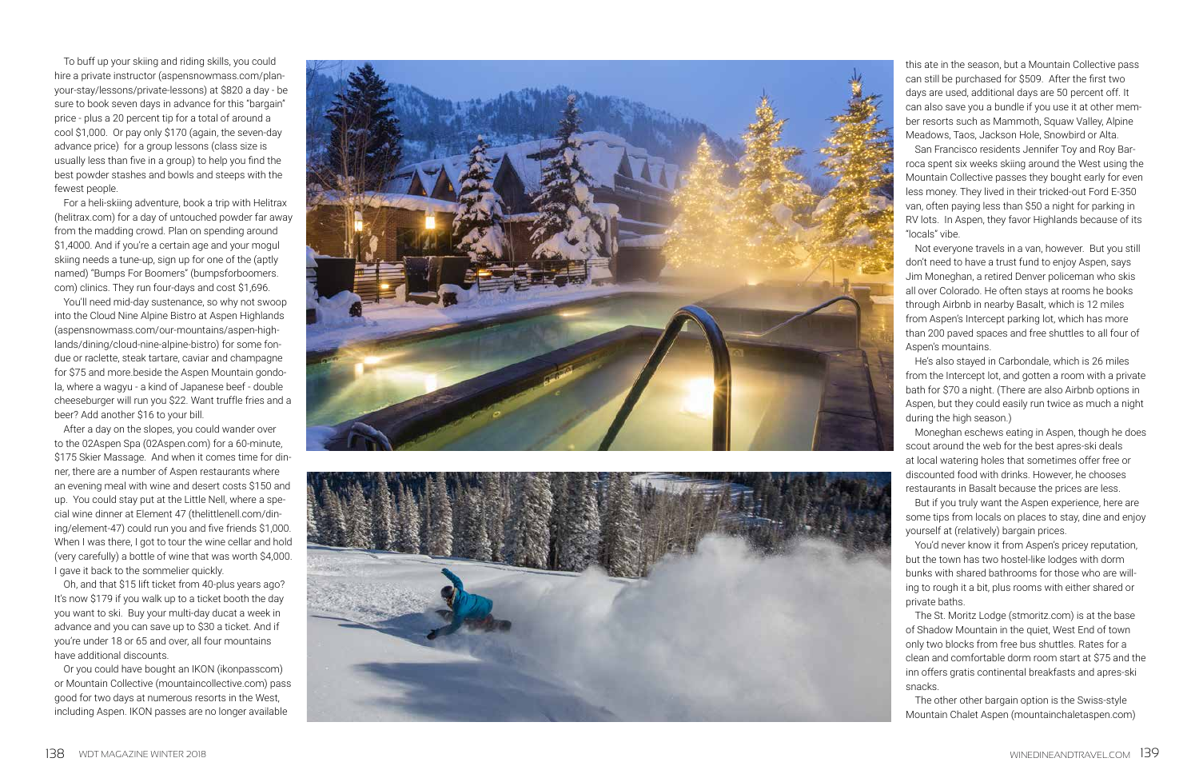To buff up your skiing and riding skills, you could hire a private instructor (aspensnowmass.com/planyour-stay/lessons/private-lessons) at \$820 a day - be sure to book seven days in advance for this "bargain" price - plus a 20 percent tip for a total of around a cool \$1,000. Or pay only \$170 (again, the seven-day advance price) for a group lessons (class size is usually less than five in a group) to help you find the best powder stashes and bowls and steeps with the fewest people.

For a heli-skiing adventure, book a trip with Helitrax (helitrax.com) for a day of untouched powder far away from the madding crowd. Plan on spending around \$1,4000. And if you're a certain age and your mogul skiing needs a tune-up, sign up for one of the (aptly named) "Bumps For Boomers" (bumpsforboomers. com) clinics. They run four-days and cost \$1,696.

You'll need mid-day sustenance, so why not swoop into the Cloud Nine Alpine Bistro at Aspen Highlands (aspensnowmass.com/our-mountains/aspen-high lands/dining/cloud-nine-alpine-bistro) for some fon due or raclette, steak tartare, caviar and champagne for \$75 and more.beside the Aspen Mountain gondo la, where a wagyu - a kind of Japanese beef - double cheeseburger will run you \$22. Want truffle fries and a beer? Add another \$16 to your bill.

After a day on the slopes, you could wander over to the 02Aspen Spa (02Aspen.com) for a 60-minute, \$175 Skier Massage. And when it comes time for din ner, there are a number of Aspen restaurants where an evening meal with wine and desert costs \$150 and up. You could stay put at the Little Nell, where a spe cial wine dinner at Element 47 (thelittlenell.com/din ing/element-47) could run you and five friends \$1,000. When I was there, I got to tour the wine cellar and hold (very carefully) a bottle of wine that was worth \$4,000. I gave it back to the sommelier quickly.

Oh, and that \$15 lift ticket from 40-plus years ago? It's now \$179 if you walk up to a ticket booth the day you want to ski. Buy your multi-day ducat a week in advance and you can save up to \$30 a ticket. And if you're under 18 or 65 and over, all four mountains have additional discounts.

Or you could have bought an IKON (ikonpasscom) or Mountain Collective (mountaincollective.com) pass good for two days at numerous resorts in the West, including Aspen. IKON passes are no longer available





this ate in the season, but a Mountain Collective pass can still be purchased for \$509. After the first two days are used, additional days are 50 percent off. It can also save you a bundle if you use it at other mem ber resorts such as Mammoth, Squaw Valley, Alpine Meadows, Taos, Jackson Hole, Snowbird or Alta.

San Francisco residents Jennifer Toy and Roy Bar roca spent six weeks skiing around the West using the Mountain Collective passes they bought early for even less money. They lived in their tricked-out Ford E-350 van, often paying less than \$50 a night for parking in RV lots. In Aspen, they favor Highlands because of its "locals" vibe.

Not everyone travels in a van, however. But you still don't need to have a trust fund to enjoy Aspen, says Jim Moneghan, a retired Denver policeman who skis all over Colorado. He often stays at rooms he books through Airbnb in nearby Basalt, which is 12 miles from Aspen's Intercept parking lot, which has more than 200 paved spaces and free shuttles to all four of Aspen's mountains.

He's also stayed in Carbondale, which is 26 miles from the Intercept lot, and gotten a room with a private bath for \$70 a night. (There are also Airbnb options in Aspen, but they could easily run twice as much a night during the high season.)

Moneghan eschews eating in Aspen, though he does scout around the web for the best apres-ski deals at local watering holes that sometimes offer free or discounted food with drinks. However, he chooses restaurants in Basalt because the prices are less.

But if you truly want the Aspen experience, here are some tips from locals on places to stay, dine and enjoy yourself at (relatively) bargain prices.

You'd never know it from Aspen's pricey reputation, but the town has two hostel-like lodges with dorm bunks with shared bathrooms for those who are will ing to rough it a bit, plus rooms with either shared or private baths.

The St. Moritz Lodge (stmoritz.com) is at the base of Shadow Mountain in the quiet, West End of town only two blocks from free bus shuttles. Rates for a clean and comfortable dorm room start at \$75 and the inn offers gratis continental breakfasts and apres-ski snacks.

The other other bargain option is the Swiss-style Mountain Chalet Aspen (mountainchaletaspen.com)